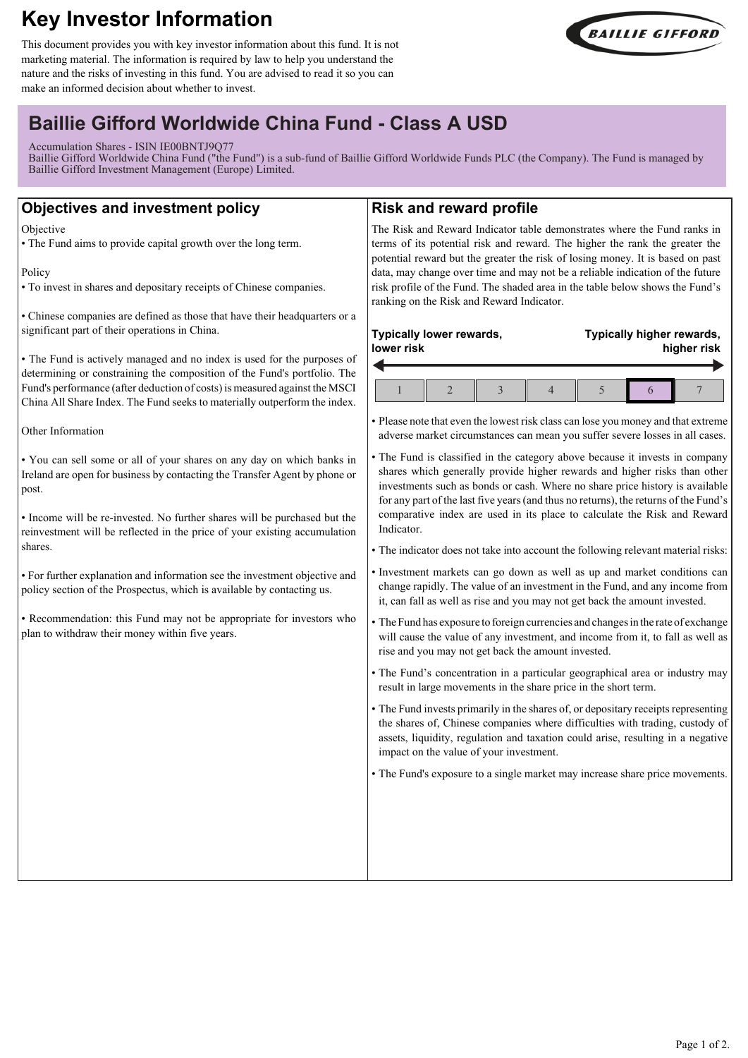# **Key Investor Information**

This document provides you with key investor information about this fund. It is not marketing material. The information is required by law to help you understand the nature and the risks of investing in this fund. You are advised to read it so you can make an informed decision about whether to invest.



## **Baillie Gifford Worldwide China Fund - Class A USD**

Accumulation Shares - ISIN IE00BNTJ9Q77

Baillie Gifford Worldwide China Fund ("the Fund") is a sub-fund of Baillie Gifford Worldwide Funds PLC (the Company). The Fund is managed by Baillie Gifford Investment Management (Europe) Limited.

### **Objectives and investment policy**

**Objective** 

• The Fund aims to provide capital growth over the long term.

Policy

• To invest in shares and depositary receipts of Chinese companies.

• Chinese companies are defined as those that have their headquarters or a significant part of their operations in China.

• The Fund is actively managed and no index is used for the purposes of determining or constraining the composition of the Fund's portfolio. The Fund's performance (after deduction of costs) is measured against the MSCI China All Share Index. The Fund seeks to materially outperform the index.

Other Information

• You can sell some or all of your shares on any day on which banks in Ireland are open for business by contacting the Transfer Agent by phone or post.

• Income will be re-invested. No further shares will be purchased but the reinvestment will be reflected in the price of your existing accumulation shares.

• For further explanation and information see the investment objective and policy section of the Prospectus, which is available by contacting us.

• Recommendation: this Fund may not be appropriate for investors who plan to withdraw their money within five years.

### **Risk and reward profile**

The Risk and Reward Indicator table demonstrates where the Fund ranks in terms of its potential risk and reward. The higher the rank the greater the potential reward but the greater the risk of losing money. It is based on past data, may change over time and may not be a reliable indication of the future risk profile of the Fund. The shaded area in the table below shows the Fund's ranking on the Risk and Reward Indicator.

### **Typically lower rewards, lower risk**

**Typically higher rewards, higher risk**

• Please note that even the lowest risk class can lose you money and that extreme adverse market circumstances can mean you suffer severe losses in all cases.

- The Fund is classified in the category above because it invests in company shares which generally provide higher rewards and higher risks than other investments such as bonds or cash. Where no share price history is available for any part of the last five years (and thus no returns), the returns of the Fund's comparative index are used in its place to calculate the Risk and Reward Indicator.
- The indicator does not take into account the following relevant material risks:
- Investment markets can go down as well as up and market conditions can change rapidly. The value of an investment in the Fund, and any income from it, can fall as well as rise and you may not get back the amount invested.
- The Fund has exposure to foreign currencies and changes in the rate of exchange will cause the value of any investment, and income from it, to fall as well as rise and you may not get back the amount invested.
- The Fund's concentration in a particular geographical area or industry may result in large movements in the share price in the short term.
- The Fund invests primarily in the shares of, or depositary receipts representing the shares of, Chinese companies where difficulties with trading, custody of assets, liquidity, regulation and taxation could arise, resulting in a negative impact on the value of your investment.

• The Fund's exposure to a single market may increase share price movements.